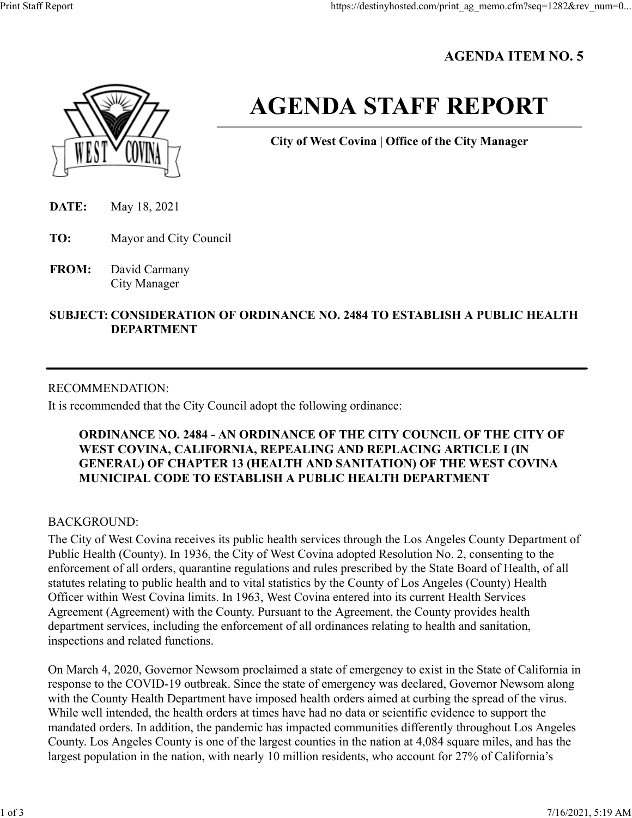## **AGENDA ITEM NO. 5**



# **AGENDA STAFF REPORT**

**City of West Covina | Office of the City Manager**

- **DATE:** May 18, 2021
- **TO:** Mayor and City Council
- **FROM:** David Carmany City Manager

## **SUBJECT: CONSIDERATION OF ORDINANCE NO. 2484 TO ESTABLISH A PUBLIC HEALTH DEPARTMENT**

### RECOMMENDATION:

It is recommended that the City Council adopt the following ordinance:

## **ORDINANCE NO. 2484 - AN ORDINANCE OF THE CITY COUNCIL OF THE CITY OF WEST COVINA, CALIFORNIA, REPEALING AND REPLACING ARTICLE I (IN GENERAL) OF CHAPTER 13 (HEALTH AND SANITATION) OF THE WEST COVINA MUNICIPAL CODE TO ESTABLISH A PUBLIC HEALTH DEPARTMENT**

### BACKGROUND:

The City of West Covina receives its public health services through the Los Angeles County Department of Public Health (County). In 1936, the City of West Covina adopted Resolution No. 2, consenting to the enforcement of all orders, quarantine regulations and rules prescribed by the State Board of Health, of all statutes relating to public health and to vital statistics by the County of Los Angeles (County) Health Officer within West Covina limits. In 1963, West Covina entered into its current Health Services Agreement (Agreement) with the County. Pursuant to the Agreement, the County provides health department services, including the enforcement of all ordinances relating to health and sanitation, inspections and related functions.

On March 4, 2020, Governor Newsom proclaimed a state of emergency to exist in the State of California in response to the COVID-19 outbreak. Since the state of emergency was declared, Governor Newsom along with the County Health Department have imposed health orders aimed at curbing the spread of the virus. While well intended, the health orders at times have had no data or scientific evidence to support the mandated orders. In addition, the pandemic has impacted communities differently throughout Los Angeles County. Los Angeles County is one of the largest counties in the nation at 4,084 square miles, and has the largest population in the nation, with nearly 10 million residents, who account for 27% of California's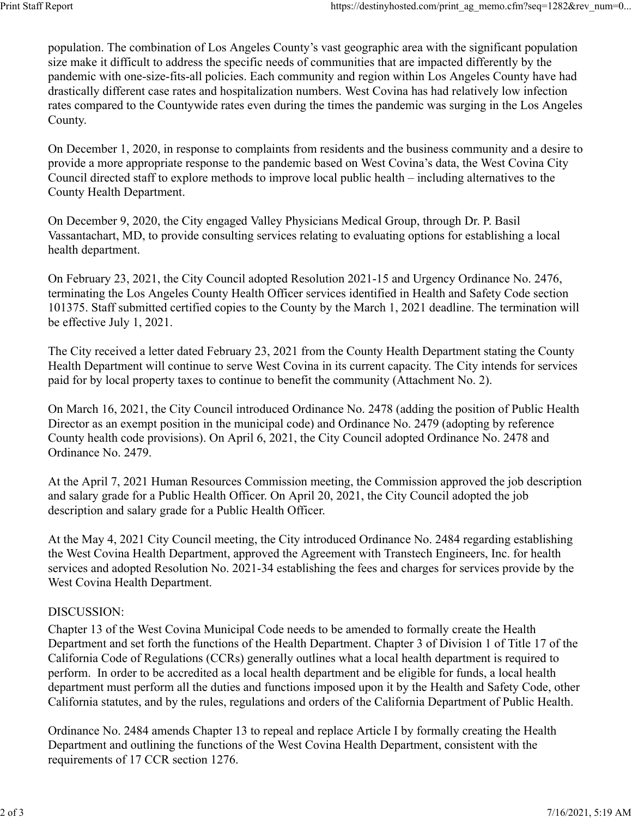population. The combination of Los Angeles County's vast geographic area with the significant population size make it difficult to address the specific needs of communities that are impacted differently by the pandemic with one-size-fits-all policies. Each community and region within Los Angeles County have had drastically different case rates and hospitalization numbers. West Covina has had relatively low infection rates compared to the Countywide rates even during the times the pandemic was surging in the Los Angeles County.

On December 1, 2020, in response to complaints from residents and the business community and a desire to provide a more appropriate response to the pandemic based on West Covina's data, the West Covina City Council directed staff to explore methods to improve local public health – including alternatives to the County Health Department.

On December 9, 2020, the City engaged Valley Physicians Medical Group, through Dr. P. Basil Vassantachart, MD, to provide consulting services relating to evaluating options for establishing a local health department.

On February 23, 2021, the City Council adopted Resolution 2021-15 and Urgency Ordinance No. 2476, terminating the Los Angeles County Health Officer services identified in Health and Safety Code section 101375. Staff submitted certified copies to the County by the March 1, 2021 deadline. The termination will be effective July 1, 2021.

The City received a letter dated February 23, 2021 from the County Health Department stating the County Health Department will continue to serve West Covina in its current capacity. The City intends for services paid for by local property taxes to continue to benefit the community (Attachment No. 2).

On March 16, 2021, the City Council introduced Ordinance No. 2478 (adding the position of Public Health Director as an exempt position in the municipal code) and Ordinance No. 2479 (adopting by reference County health code provisions). On April 6, 2021, the City Council adopted Ordinance No. 2478 and Ordinance No. 2479.

At the April 7, 2021 Human Resources Commission meeting, the Commission approved the job description and salary grade for a Public Health Officer. On April 20, 2021, the City Council adopted the job description and salary grade for a Public Health Officer.

At the May 4, 2021 City Council meeting, the City introduced Ordinance No. 2484 regarding establishing the West Covina Health Department, approved the Agreement with Transtech Engineers, Inc. for health services and adopted Resolution No. 2021-34 establishing the fees and charges for services provide by the West Covina Health Department.

#### DISCUSSION:

Chapter 13 of the West Covina Municipal Code needs to be amended to formally create the Health Department and set forth the functions of the Health Department. Chapter 3 of Division 1 of Title 17 of the California Code of Regulations (CCRs) generally outlines what a local health department is required to perform. In order to be accredited as a local health department and be eligible for funds, a local health department must perform all the duties and functions imposed upon it by the Health and Safety Code, other California statutes, and by the rules, regulations and orders of the California Department of Public Health.

Ordinance No. 2484 amends Chapter 13 to repeal and replace Article I by formally creating the Health Department and outlining the functions of the West Covina Health Department, consistent with the requirements of 17 CCR section 1276.